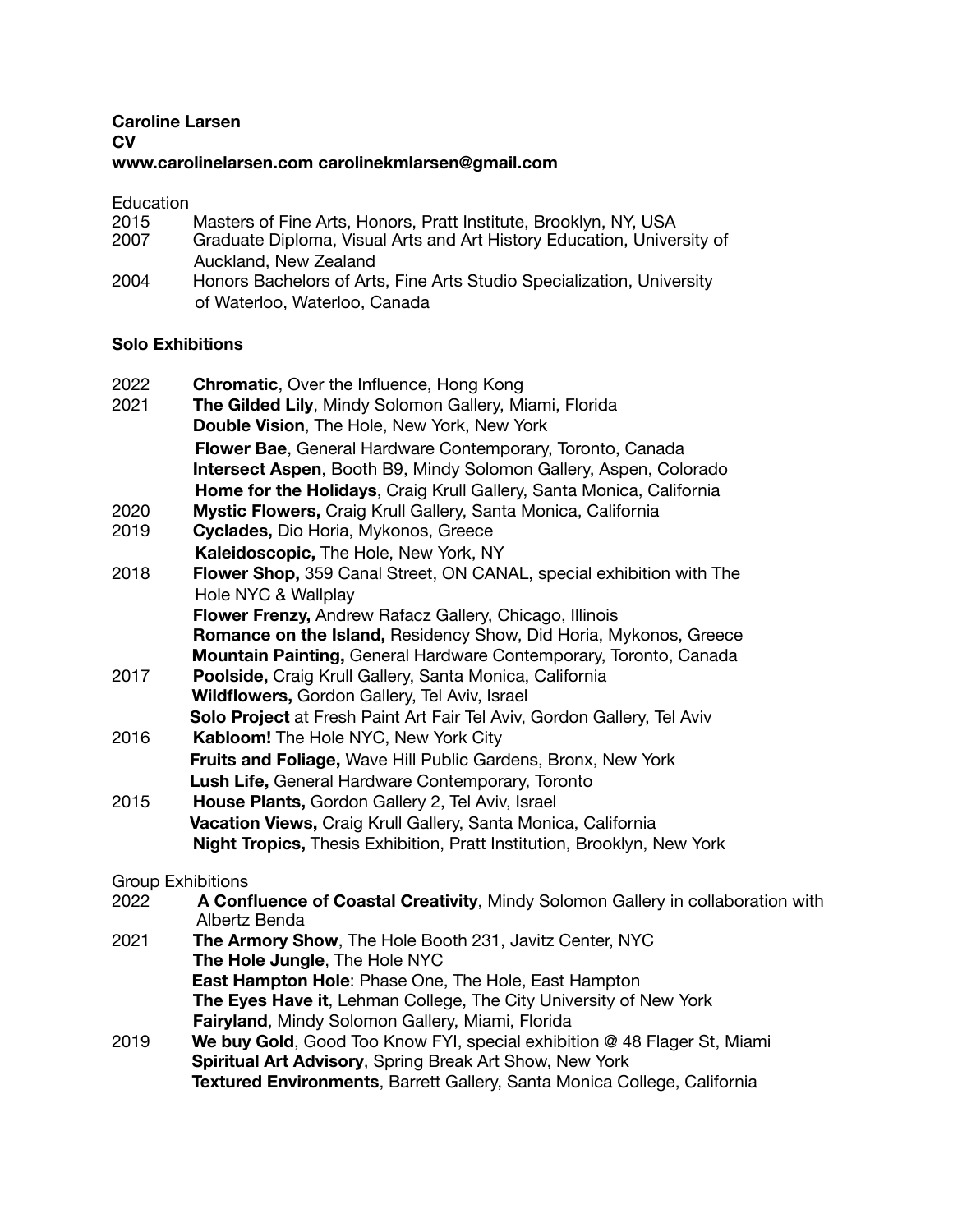## **Caroline Larsen CV www.carolinelarsen.com carolinekmlarsen@gmail.com**

## Education

| 2015 | Masters of Fine Arts, Honors, Pratt Institute, Brooklyn, NY, USA       |
|------|------------------------------------------------------------------------|
| 2007 | Graduate Diploma, Visual Arts and Art History Education, University of |
|      | Auckland, New Zealand                                                  |
| 2004 | Honors Bachelors of Arts, Fine Arts Studio Specialization, University  |
|      | of Waterloo, Waterloo, Canada                                          |

## **Solo Exhibitions**

| 2022<br>2021 | <b>Chromatic, Over the Influence, Hong Kong</b><br>The Gilded Lily, Mindy Solomon Gallery, Miami, Florida<br>Double Vision, The Hole, New York, New York |
|--------------|----------------------------------------------------------------------------------------------------------------------------------------------------------|
|              | Flower Bae, General Hardware Contemporary, Toronto, Canada<br><b>Intersect Aspen, Booth B9, Mindy Solomon Gallery, Aspen, Colorado</b>                   |
|              | Home for the Holidays, Craig Krull Gallery, Santa Monica, California                                                                                     |
| 2020         | Mystic Flowers, Craig Krull Gallery, Santa Monica, California                                                                                            |
| 2019         | Cyclades, Dio Horia, Mykonos, Greece                                                                                                                     |
|              | Kaleidoscopic, The Hole, New York, NY                                                                                                                    |
| 2018<br>2017 | Flower Shop, 359 Canal Street, ON CANAL, special exhibition with The                                                                                     |
|              | Hole NYC & Wallplay                                                                                                                                      |
|              | Flower Frenzy, Andrew Rafacz Gallery, Chicago, Illinois                                                                                                  |
|              | Romance on the Island, Residency Show, Did Horia, Mykonos, Greece                                                                                        |
|              | Mountain Painting, General Hardware Contemporary, Toronto, Canada                                                                                        |
|              | Poolside, Craig Krull Gallery, Santa Monica, California                                                                                                  |
|              | <b>Wildflowers, Gordon Gallery, Tel Aviv, Israel</b>                                                                                                     |
|              | Solo Project at Fresh Paint Art Fair Tel Aviv, Gordon Gallery, Tel Aviv                                                                                  |
| 2016         | Kabloom! The Hole NYC, New York City                                                                                                                     |
|              | Fruits and Foliage, Wave Hill Public Gardens, Bronx, New York                                                                                            |
|              | Lush Life, General Hardware Contemporary, Toronto                                                                                                        |
| 2015         | House Plants, Gordon Gallery 2, Tel Aviv, Israel                                                                                                         |
|              | Vacation Views, Craig Krull Gallery, Santa Monica, California                                                                                            |
|              | <b>Night Tropics, Thesis Exhibition, Pratt Institution, Brooklyn, New York</b>                                                                           |
|              | <b>Group Exhibitions</b>                                                                                                                                 |
| 2022         | A Confluence of Coastal Creativity, Mindy Solomon Gallery in collaboration with<br>Albertz Benda                                                         |
| 2021         | The Armory Show, The Hole Booth 231, Javitz Center, NYC                                                                                                  |
|              | The Hole Jungle, The Hole NYC                                                                                                                            |
|              | <b>East Hampton Hole: Phase One, The Hole, East Hampton</b>                                                                                              |
|              | The Eyes Have it, Lehman College, The City University of New York                                                                                        |
|              | Fairyland, Mindy Solomon Gallery, Miami, Florida                                                                                                         |
| 2019         | We buy Gold, Good Too Know FYI, special exhibition @ 48 Flager St, Miami                                                                                 |

2019 **We buy Gold**, Good Too Know FYI, special exhibition @ 48 Flager St, Miami **Spiritual Art Advisory**, Spring Break Art Show, New York **Textured Environments**, Barrett Gallery, Santa Monica College, California